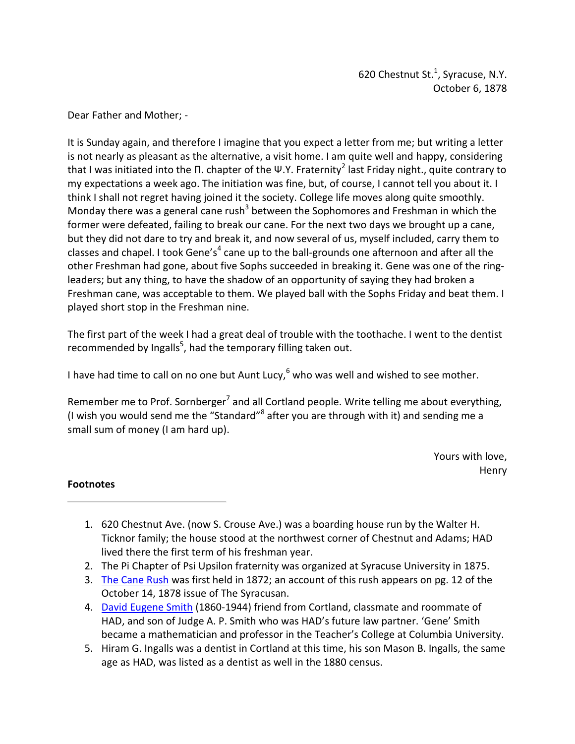620 Chestnut St. $<sup>1</sup>$ , Syracuse, N.Y.</sup> October 6, 1878

Dear Father and Mother; -

 It is Sunday again, and therefore I imagine that you expect a letter from me; but writing a letter is not nearly as pleasant as the alternative, a visit home. I am quite well and happy, considering that I was initiated into the Π. chapter of the Ψ.Y. Fraternity<sup>2</sup> last Friday night., quite contrary to my expectations a week ago. The initiation was fine, but, of course, I cannot tell you about it. I think I shall not regret having joined it the society. College life moves along quite smoothly. Monday there was a general cane rush<sup>3</sup> between the Sophomores and Freshman in which the former were defeated, failing to break our cane. For the next two days we brought up a cane, but they did not dare to try and break it, and now several of us, myself included, carry them to classes and chapel. I took Gene's<sup>4</sup> cane up to the ball-grounds one afternoon and after all the other Freshman had gone, about five Sophs succeeded in breaking it. Gene was one of the ring- leaders; but any thing, to have the shadow of an opportunity of saying they had broken a Freshman cane, was acceptable to them. We played ball with the Sophs Friday and beat them. I played short stop in the Freshman nine.

 The first part of the week I had a great deal of trouble with the toothache. I went to the dentist recommended by Ingalls<sup>5</sup>, had the temporary filling taken out.

I have had time to call on no one but Aunt Lucy,  $6$  who was well and wished to see mother.

Remember me to Prof. Sornberger<sup>7</sup> and all Cortland people. Write telling me about everything, (I wish you would send me the "Standard"<sup>8</sup> after you are through with it) and sending me a small sum of money (I am hard up).

> Yours with love, Henry

- 1. 620 Chestnut Ave. (now S. Crouse Ave.) was a boarding house run by the Walter H. Ticknor family; the house stood at the northwest corner of Chestnut and Adams; HAD lived there the first term of his freshman year.
- 2. The Pi Chapter of Psi Upsilon fraternity was organized at Syracuse University in 1875.
- 3. The Cane Rush was first held in 1872; an account of this rush appears on pg. 12 of the October 14, 1878 issue of The Syracusan.
- 4. David Eugene Smith (1860-1944) friend from Cortland, classmate and roommate of HAD, and son of Judge A. P. Smith who was HAD's future law partner. 'Gene' Smith became a mathematician and professor in the Teacher's College at Columbia University.
- 5. Hiram G. Ingalls was a dentist in Cortland at this time, his son Mason B. Ingalls, the same age as HAD, was listed as a dentist as well in the 1880 census.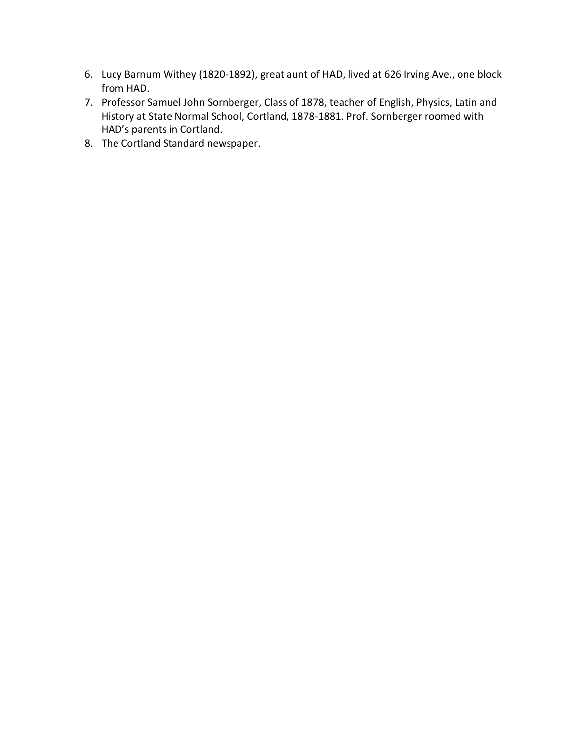- 6. Lucy Barnum Withey (1820-1892), great aunt of HAD, lived at 626 Irving Ave., one block from HAD.
- 7. Professor Samuel John Sornberger, Class of 1878, teacher of English, Physics, Latin and History at State Normal School, Cortland, 1878-1881. Prof. Sornberger roomed with HAD's parents in Cortland.
- 8. The Cortland Standard newspaper.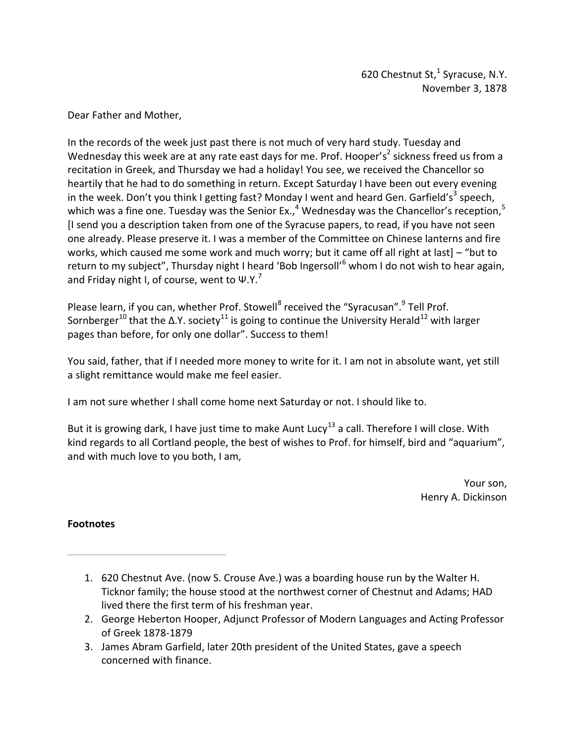Dear Father and Mother,

 In the records of the week just past there is not much of very hard study. Tuesday and Wednesday this week are at any rate east days for me. Prof. Hooper's<sup>2</sup> sickness freed us from a recitation in Greek, and Thursday we had a holiday! You see, we received the Chancellor so heartily that he had to do something in return. Except Saturday I have been out every evening in the week. Don't you think I getting fast? Monday I went and heard Gen. Garfield's<sup>3</sup> speech, which was a fine one. Tuesday was the Senior Ex.,<sup>4</sup> Wednesday was the Chancellor's reception,<sup>5</sup> [I send you a description taken from one of the Syracuse papers, to read, if you have not seen one already. Please preserve it. I was a member of the Committee on Chinese lanterns and fire works, which caused me some work and much worry; but it came off all right at last] – "but to return to my subject", Thursday night I heard 'Bob Ingersoll'<sup>6</sup> whom I do not wish to hear again, and Friday night I, of course, went to  $\Psi$ .Y.<sup>7</sup>

Please learn, if you can, whether Prof. Stowell<sup>8</sup> received the "Syracusan".<sup>9</sup> Tell Prof. Sornberger<sup>10</sup> that the Δ.Υ. society<sup>11</sup> is going to continue the University Herald<sup>12</sup> with larger pages than before, for only one dollar". Success to them!

 You said, father, that if I needed more money to write for it. I am not in absolute want, yet still a slight remittance would make me feel easier.

I am not sure whether I shall come home next Saturday or not. I should like to.

But it is growing dark, I have just time to make Aunt Lucy<sup>13</sup> a call. Therefore I will close. With kind regards to all Cortland people, the best of wishes to Prof. for himself, bird and "aquarium", and with much love to you both, I am,

> Your son, Henry A. Dickinson

- 1. 620 Chestnut Ave. (now S. Crouse Ave.) was a boarding house run by the Walter H. Ticknor family; the house stood at the northwest corner of Chestnut and Adams; HAD lived there the first term of his freshman year.
- 2. George Heberton Hooper, Adjunct Professor of Modern Languages and Acting Professor of Greek 1878-1879
- 3. James Abram Garfield, later 20th president of the United States, gave a speech concerned with finance.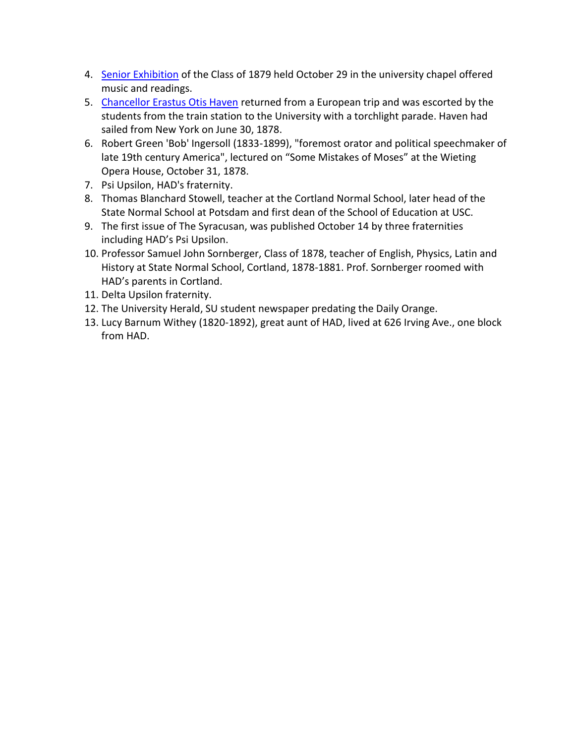- 4. Senior Exhibition of the Class of 1879 held October 29 in the university chapel offered music and readings.
- 5. Chancellor Erastus Otis Haven returned from a European trip and was escorted by the students from the train station to the University with a torchlight parade. Haven had sailed from New York on June 30, 1878.
- 6. Robert Green 'Bob' Ingersoll (1833-1899), "foremost orator and political speechmaker of late 19th century America", lectured on "Some Mistakes of Moses" at the Wieting Opera House, October 31, 1878.
- 7. Psi Upsilon, HAD's fraternity.
- 8. Thomas Blanchard Stowell, teacher at the Cortland Normal School, later head of the State Normal School at Potsdam and first dean of the School of Education at USC.
- 9. The first issue of The Syracusan, was published October 14 by three fraternities including HAD's Psi Upsilon.
- 10. Professor Samuel John Sornberger, Class of 1878, teacher of English, Physics, Latin and History at State Normal School, Cortland, 1878-1881. Prof. Sornberger roomed with HAD's parents in Cortland.
- 11. Delta Upsilon fraternity.
- 12. The University Herald, SU student newspaper predating the Daily Orange.
- 13. Lucy Barnum Withey (1820-1892), great aunt of HAD, lived at 626 Irving Ave., one block from HAD.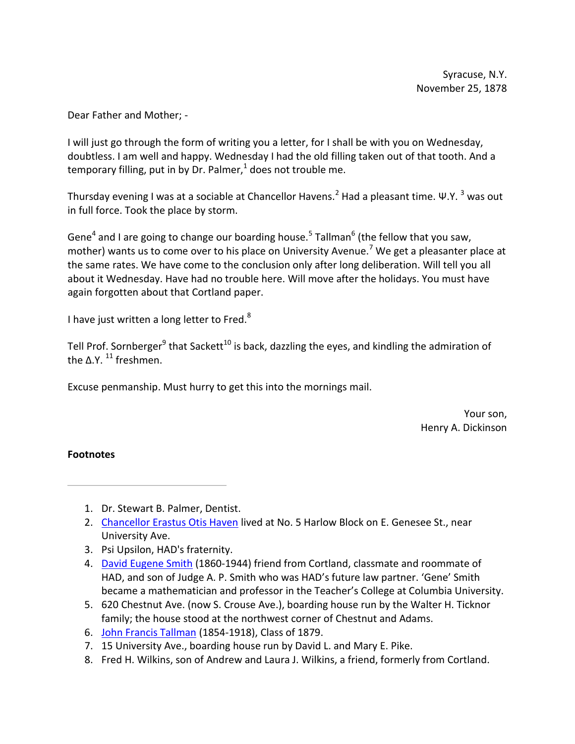Dear Father and Mother; -

I will just go through the form of writing you a letter, for I shall be with you on Wednesday, doubtless. I am well and happy. Wednesday I had the old filling taken out of that tooth. And a temporary filling, put in by Dr. Palmer, $1$  does not trouble me.

Thursday evening I was at a sociable at Chancellor Havens.<sup>2</sup> Had a pleasant time. Ψ.Υ. <sup>3</sup> was out in full force. Took the place by storm.

Gene<sup>4</sup> and I are going to change our boarding house.<sup>5</sup> Tallman<sup>6</sup> (the fellow that you saw, mother) wants us to come over to his place on University Avenue.<sup>7</sup> We get a pleasanter place at the same rates. We have come to the conclusion only after long deliberation. Will tell you all about it Wednesday. Have had no trouble here. Will move after the holidays. You must have again forgotten about that Cortland paper.

I have just written a long letter to Fred. $8$ 

Tell Prof. Sornberger<sup>9</sup> that Sackett<sup>10</sup> is back, dazzling the eyes, and kindling the admiration of the Δ.Υ.  $11$  freshmen.

Excuse penmanship. Must hurry to get this into the mornings mail.

Your son, Henry A. Dickinson

- 1. Dr. Stewart B. Palmer, Dentist.
- 2. Chancellor Erastus Otis Haven lived at No. 5 Harlow Block on E. Genesee St., near University Ave.
- 3. Psi Upsilon, HAD's fraternity.
- 4. David Eugene Smith (1860-1944) friend from Cortland, classmate and roommate of HAD, and son of Judge A. P. Smith who was HAD's future law partner. 'Gene' Smith became a mathematician and professor in the Teacher's College at Columbia University.
- 5. 620 Chestnut Ave. (now S. Crouse Ave.), boarding house run by the Walter H. Ticknor family; the house stood at the northwest corner of Chestnut and Adams.
- 6. John Francis Tallman (1854-1918), Class of 1879.
- 7. 15 University Ave., boarding house run by David L. and Mary E. Pike.
- 8. Fred H. Wilkins, son of Andrew and Laura J. Wilkins, a friend, formerly from Cortland.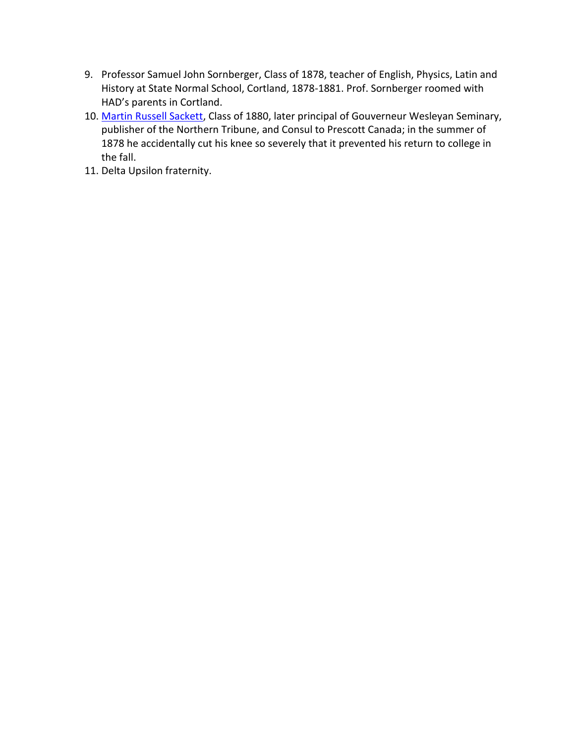- 9. Professor Samuel John Sornberger, Class of 1878, teacher of English, Physics, Latin and History at State Normal School, Cortland, 1878-1881. Prof. Sornberger roomed with HAD's parents in Cortland.
- 10. Martin Russell Sackett, Class of 1880, later principal of Gouverneur Wesleyan Seminary, publisher of the Northern Tribune, and Consul to Prescott Canada; in the summer of 1878 he accidentally cut his knee so severely that it prevented his return to college in the fall.
- 11. Delta Upsilon fraternity.